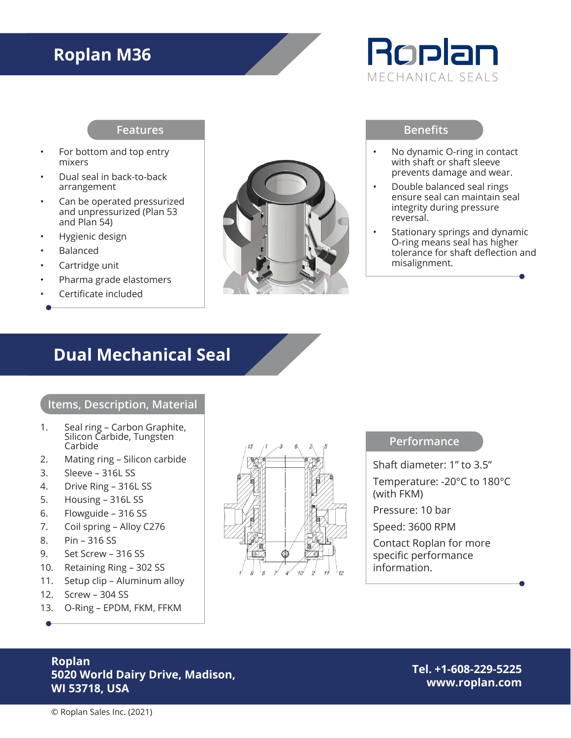## **Roplan M36**



#### **Features**

- For bottom and top entry mixers
- Dual seal in back-to-back arrangement
- Can be operated pressurized and unpressurized (Plan 53 and Plan 54)
- Hygienic design
- Balanced
- Cartridge unit
- Pharma grade elastomers
- Certificate included



#### **Benefits**

- No dynamic O-ring in contact with shaft or shaft sleeve prevents damage and wear.
- Double balanced seal rings ensure seal can maintain seal integrity during pressure reversal.
- Stationary springs and dynamic O-ring means seal has higher tolerance for shaft deflection and misalignment.

### **Dual Mechanical Seal**

#### **Items, Description, Material**

- 1. Seal ring Carbon Graphite, Silicon Carbide, Tungsten Carbide
- 2. Mating ring Silicon carbide
- 3. Sleeve 316L SS
- 4. Drive Ring 316L SS
- 5. Housing 316L SS
- 6. Flowguide 316 SS
- 7. Coil spring Alloy C276
- 8. Pin 316 SS
- 9. Set Screw 316 SS
- 10. Retaining Ring 302 SS
- 11. Setup clip Aluminum alloy
- 12. Screw 304 SS
- 13. O-Ring EPDM, FKM, FFKM



#### **Performance**

Shaft diameter: 1" to 3.5" Temperature: -20°C to 180°C (with FKM) Pressure: 10 bar Speed: 3600 RPM Contact Roplan for more specific performance information.

### **Roplan 5020 World Dairy Drive, Madison, WI 53718, USA**

**Tel. +1-608-229-5225 www.roplan.com**